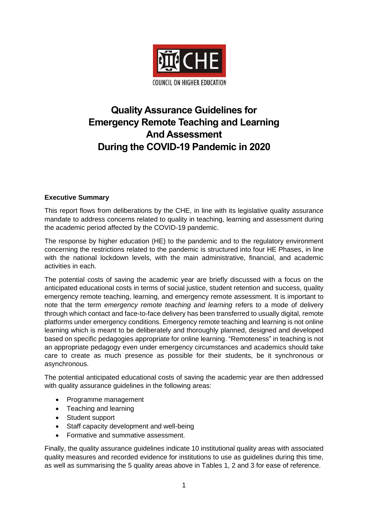

# **Quality Assurance Guidelines for Emergency Remote Teaching and Learning And Assessment During the COVID-19 Pandemic in 2020**

#### **Executive Summary**

This report flows from deliberations by the CHE, in line with its legislative quality assurance mandate to address concerns related to quality in teaching, learning and assessment during the academic period affected by the COVID-19 pandemic.

The response by higher education (HE) to the pandemic and to the regulatory environment concerning the restrictions related to the pandemic is structured into four HE Phases, in line with the national lockdown levels, with the main administrative, financial, and academic activities in each.

The potential costs of saving the academic year are briefly discussed with a focus on the anticipated educational costs in terms of social justice, student retention and success, quality emergency remote teaching, learning, and emergency remote assessment. It is important to note that the term *emergency remote teaching and learning* refers to a mode of delivery through which contact and face-to-face delivery has been transferred to usually digital, remote platforms under emergency conditions. Emergency remote teaching and learning is not online learning which is meant to be deliberately and thoroughly planned, designed and developed based on specific pedagogies appropriate for online learning. "Remoteness" in teaching is not an appropriate pedagogy even under emergency circumstances and academics should take care to create as much presence as possible for their students, be it synchronous or asynchronous.

The potential anticipated educational costs of saving the academic year are then addressed with quality assurance guidelines in the following areas:

- Programme management
- Teaching and learning
- Student support
- Staff capacity development and well-being
- Formative and summative assessment.

Finally, the quality assurance guidelines indicate 10 institutional quality areas with associated quality measures and recorded evidence for institutions to use as guidelines during this time, as well as summarising the 5 quality areas above in Tables 1, 2 and 3 for ease of reference.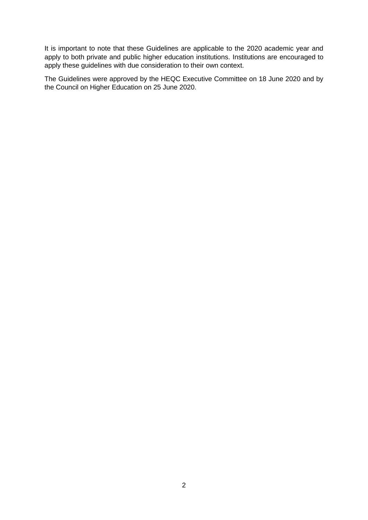It is important to note that these Guidelines are applicable to the 2020 academic year and apply to both private and public higher education institutions. Institutions are encouraged to apply these guidelines with due consideration to their own context.

The Guidelines were approved by the HEQC Executive Committee on 18 June 2020 and by the Council on Higher Education on 25 June 2020.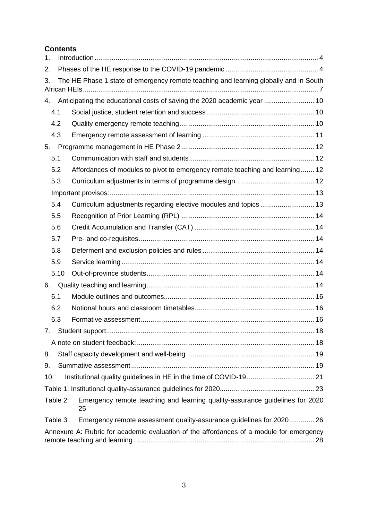# **Contents**

| 1.  |                                                                                         |                                                                                      |  |  |  |  |
|-----|-----------------------------------------------------------------------------------------|--------------------------------------------------------------------------------------|--|--|--|--|
| 2.  |                                                                                         |                                                                                      |  |  |  |  |
| 3.  |                                                                                         | The HE Phase 1 state of emergency remote teaching and learning globally and in South |  |  |  |  |
| 4.  |                                                                                         | Anticipating the educational costs of saving the 2020 academic year  10              |  |  |  |  |
|     | 4.1                                                                                     |                                                                                      |  |  |  |  |
|     | 4.2                                                                                     |                                                                                      |  |  |  |  |
|     | 4.3                                                                                     |                                                                                      |  |  |  |  |
| 5.  |                                                                                         |                                                                                      |  |  |  |  |
|     | 5.1                                                                                     |                                                                                      |  |  |  |  |
|     | 5.2                                                                                     | Affordances of modules to pivot to emergency remote teaching and learning 12         |  |  |  |  |
|     | 5.3                                                                                     |                                                                                      |  |  |  |  |
|     |                                                                                         |                                                                                      |  |  |  |  |
|     | 5.4                                                                                     |                                                                                      |  |  |  |  |
|     | 5.5                                                                                     |                                                                                      |  |  |  |  |
|     | 5.6                                                                                     |                                                                                      |  |  |  |  |
|     | 5.7                                                                                     |                                                                                      |  |  |  |  |
|     | 5.8                                                                                     |                                                                                      |  |  |  |  |
|     | 5.9                                                                                     |                                                                                      |  |  |  |  |
|     | 5.10                                                                                    |                                                                                      |  |  |  |  |
| 6.  |                                                                                         |                                                                                      |  |  |  |  |
|     | 6.1                                                                                     |                                                                                      |  |  |  |  |
|     | 6.2                                                                                     |                                                                                      |  |  |  |  |
|     | 6.3                                                                                     |                                                                                      |  |  |  |  |
|     |                                                                                         |                                                                                      |  |  |  |  |
|     |                                                                                         |                                                                                      |  |  |  |  |
| 8.  |                                                                                         |                                                                                      |  |  |  |  |
| 9.  |                                                                                         |                                                                                      |  |  |  |  |
| 10. |                                                                                         |                                                                                      |  |  |  |  |
|     |                                                                                         |                                                                                      |  |  |  |  |
|     | Table 2:                                                                                | Emergency remote teaching and learning quality-assurance guidelines for 2020<br>25   |  |  |  |  |
|     | Table 3:                                                                                | Emergency remote assessment quality-assurance guidelines for 2020 26                 |  |  |  |  |
|     | Annexure A: Rubric for academic evaluation of the affordances of a module for emergency |                                                                                      |  |  |  |  |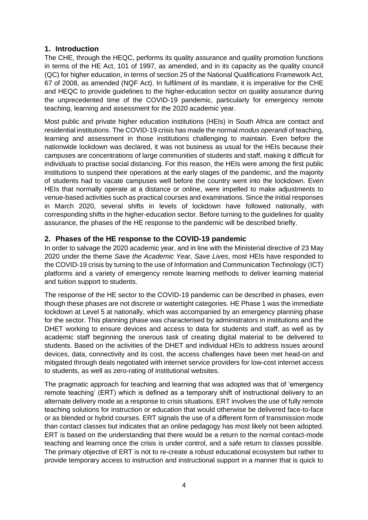## <span id="page-3-0"></span>**1. Introduction**

The CHE, through the HEQC, performs its quality assurance and quality promotion functions in terms of the HE Act, 101 of 1997, as amended, and in its capacity as the quality council (QC) for higher education, in terms of section 25 of the National Qualifications Framework Act, 67 of 2008, as amended (NQF Act). In fulfilment of its mandate, it is imperative for the CHE and HEQC to provide guidelines to the higher-education sector on quality assurance during the unprecedented time of the COVID-19 pandemic, particularly for emergency remote teaching, learning and assessment for the 2020 academic year.

Most public and private higher education institutions (HEIs) in South Africa are contact and residential institutions. The COVID-19 crisis has made the normal *modus operandi* of teaching, learning and assessment in those institutions challenging to maintain. Even before the nationwide lockdown was declared, it was not business as usual for the HEIs because their campuses are concentrations of large communities of students and staff, making it difficult for individuals to practise social distancing. For this reason, the HEIs were among the first public institutions to suspend their operations at the early stages of the pandemic, and the majority of students had to vacate campuses well before the country went into the lockdown. Even HEIs that normally operate at a distance or online, were impelled to make adjustments to venue-based activities such as practical courses and examinations. Since the initial responses in March 2020, several shifts in levels of lockdown have followed nationally, with corresponding shifts in the higher-education sector. Before turning to the guidelines for quality assurance, the phases of the HE response to the pandemic will be described briefly.

## <span id="page-3-1"></span>**2. Phases of the HE response to the COVID-19 pandemic**

In order to salvage the 2020 academic year, and in line with the Ministerial directive of 23 May 2020 under the theme *Save the Academic Year, Save Lives*, most HEIs have responded to the COVID-19 crisis by turning to the use of Information and Communication Technology (ICT) platforms and a variety of emergency remote learning methods to deliver learning material and tuition support to students.

The response of the HE sector to the COVID-19 pandemic can be described in phases, even though these phases are not discrete or watertight categories. HE Phase 1 was the immediate lockdown at Level 5 at nationally, which was accompanied by an emergency planning phase for the sector. This planning phase was characterised by administrators in institutions and the DHET working to ensure devices and access to data for students and staff, as well as by academic staff beginning the onerous task of creating digital material to be delivered to students. Based on the activities of the DHET and individual HEIs to address issues around devices, data, connectivity and its cost, the access challenges have been met head-on and mitigated through deals negotiated with internet service providers for low-cost internet access to students, as well as zero-rating of institutional websites.

The pragmatic approach for teaching and learning that was adopted was that of 'emergency remote teaching' (ERT) which is defined as a temporary shift of instructional delivery to an alternate delivery mode as a response to crisis situations. ERT involves the use of fully remote teaching solutions for instruction or education that would otherwise be delivered face-to-face or as blended or hybrid courses. ERT signals the use of a different form of transmission mode than contact classes but indicates that an online pedagogy has most likely not been adopted. ERT is based on the understanding that there would be a return to the normal contact-mode teaching and learning once the crisis is under control, and a safe return to classes possible. The primary objective of ERT is not to re-create a robust educational ecosystem but rather to provide temporary access to instruction and instructional support in a manner that is quick to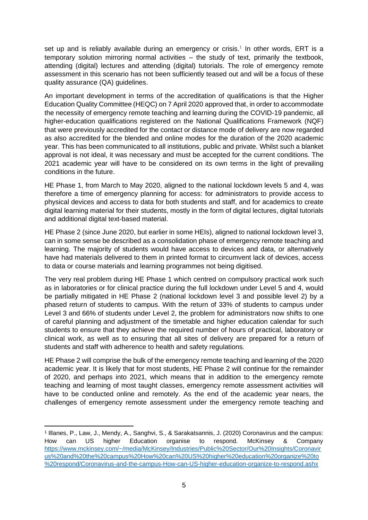set up and is reliably available during an emergency or crisis.<sup>1</sup> In other words, ERT is a temporary solution mirroring normal activities – the study of text, primarily the textbook, attending (digital) lectures and attending (digital) tutorials. The role of emergency remote assessment in this scenario has not been sufficiently teased out and will be a focus of these quality assurance (QA) guidelines.

An important development in terms of the accreditation of qualifications is that the Higher Education Quality Committee (HEQC) on 7 April 2020 approved that, in order to accommodate the necessity of emergency remote teaching and learning during the COVID-19 pandemic, all higher-education qualifications registered on the National Qualifications Framework (NQF) that were previously accredited for the contact or distance mode of delivery are now regarded as also accredited for the blended and online modes for the duration of the 2020 academic year. This has been communicated to all institutions, public and private. Whilst such a blanket approval is not ideal, it was necessary and must be accepted for the current conditions. The 2021 academic year will have to be considered on its own terms in the light of prevailing conditions in the future.

HE Phase 1, from March to May 2020, aligned to the national lockdown levels 5 and 4, was therefore a time of emergency planning for access: for administrators to provide access to physical devices and access to data for both students and staff, and for academics to create digital learning material for their students, mostly in the form of digital lectures, digital tutorials and additional digital text-based material.

HE Phase 2 (since June 2020, but earlier in some HEIs), aligned to national lockdown level 3, can in some sense be described as a consolidation phase of emergency remote teaching and learning. The majority of students would have access to devices and data, or alternatively have had materials delivered to them in printed format to circumvent lack of devices, access to data or course materials and learning programmes not being digitised.

The very real problem during HE Phase 1 which centred on compulsory practical work such as in laboratories or for clinical practice during the full lockdown under Level 5 and 4, would be partially mitigated in HE Phase 2 (national lockdown level 3 and possible level 2) by a phased return of students to campus. With the return of 33% of students to campus under Level 3 and 66% of students under Level 2, the problem for administrators now shifts to one of careful planning and adjustment of the timetable and higher education calendar for such students to ensure that they achieve the required number of hours of practical, laboratory or clinical work, as well as to ensuring that all sites of delivery are prepared for a return of students and staff with adherence to health and safety regulations.

HE Phase 2 will comprise the bulk of the emergency remote teaching and learning of the 2020 academic year. It is likely that for most students, HE Phase 2 will continue for the remainder of 2020, and perhaps into 2021, which means that in addition to the emergency remote teaching and learning of most taught classes, emergency remote assessment activities will have to be conducted online and remotely. As the end of the academic year nears, the challenges of emergency remote assessment under the emergency remote teaching and

<sup>1</sup> Illanes, P., Law, J., Mendy, A., Sanghvi, S., & Sarakatsannis, J. (2020) Coronavirus and the campus: How can US higher Education organise to respond. McKinsey & Company [https://www.mckinsey.com/~/media/McKinsey/Industries/Public%20Sector/Our%20Insights/Coronavir](https://www.mckinsey.com/~/media/McKinsey/Industries/Public%20Sector/Our%20Insights/Coronavirus%20and%20the%20campus%20How%20can%20US%20higher%20education%20organize%20to%20respond/Coronavirus-and-the-campus-How-can-US-higher-education-organize-to-respond.ashx) [us%20and%20the%20campus%20How%20can%20US%20higher%20education%20organize%20to](https://www.mckinsey.com/~/media/McKinsey/Industries/Public%20Sector/Our%20Insights/Coronavirus%20and%20the%20campus%20How%20can%20US%20higher%20education%20organize%20to%20respond/Coronavirus-and-the-campus-How-can-US-higher-education-organize-to-respond.ashx) [%20respond/Coronavirus-and-the-campus-How-can-US-higher-education-organize-to-respond.ashx](https://www.mckinsey.com/~/media/McKinsey/Industries/Public%20Sector/Our%20Insights/Coronavirus%20and%20the%20campus%20How%20can%20US%20higher%20education%20organize%20to%20respond/Coronavirus-and-the-campus-How-can-US-higher-education-organize-to-respond.ashx)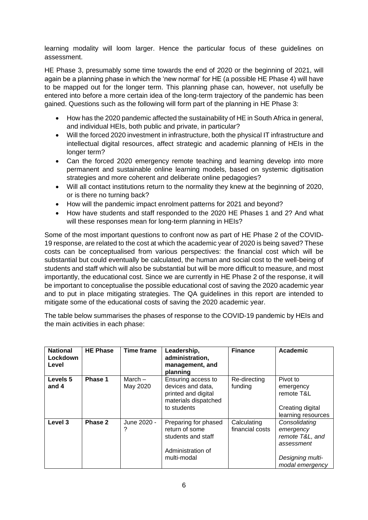learning modality will loom larger. Hence the particular focus of these guidelines on assessment.

HE Phase 3, presumably some time towards the end of 2020 or the beginning of 2021, will again be a planning phase in which the 'new normal' for HE (a possible HE Phase 4) will have to be mapped out for the longer term. This planning phase can, however, not usefully be entered into before a more certain idea of the long-term trajectory of the pandemic has been gained. Questions such as the following will form part of the planning in HE Phase 3:

- How has the 2020 pandemic affected the sustainability of HE in South Africa in general, and individual HEIs, both public and private, in particular?
- Will the forced 2020 investment in infrastructure, both the physical IT infrastructure and intellectual digital resources, affect strategic and academic planning of HEIs in the longer term?
- Can the forced 2020 emergency remote teaching and learning develop into more permanent and sustainable online learning models, based on systemic digitisation strategies and more coherent and deliberate online pedagogies?
- Will all contact institutions return to the normality they knew at the beginning of 2020, or is there no turning back?
- How will the pandemic impact enrolment patterns for 2021 and beyond?
- How have students and staff responded to the 2020 HE Phases 1 and 2? And what will these responses mean for long-term planning in HEIs?

Some of the most important questions to confront now as part of HE Phase 2 of the COVID-19 response, are related to the cost at which the academic year of 2020 is being saved? These costs can be conceptualised from various perspectives: the financial cost which will be substantial but could eventually be calculated, the human and social cost to the well-being of students and staff which will also be substantial but will be more difficult to measure, and most importantly, the educational cost. Since we are currently in HE Phase 2 of the response, it will be important to conceptualise the possible educational cost of saving the 2020 academic year and to put in place mitigating strategies. The QA guidelines in this report are intended to mitigate some of the educational costs of saving the 2020 academic year.

The table below summarises the phases of response to the COVID-19 pandemic by HEIs and the main activities in each phase:

| <b>National</b><br>Lockdown<br>Level | <b>HE Phase</b> | <b>Time frame</b>     | Leadership,<br>administration,<br>management, and<br>planning                                         | <b>Finance</b>                 | <b>Academic</b>                                                                                    |
|--------------------------------------|-----------------|-----------------------|-------------------------------------------------------------------------------------------------------|--------------------------------|----------------------------------------------------------------------------------------------------|
| Levels 5<br>and 4                    | Phase 1         | $March -$<br>May 2020 | Ensuring access to<br>devices and data,<br>printed and digital<br>materials dispatched<br>to students | Re-directing<br>funding        | Pivot to<br>emergency<br>remote T&L<br>Creating digital<br>learning resources                      |
| Level 3                              | Phase 2         | June 2020 -           | Preparing for phased<br>return of some<br>students and staff<br>Administration of<br>multi-modal      | Calculating<br>financial costs | Consolidating<br>emergency<br>remote T&L, and<br>assessment<br>Designing multi-<br>modal emergency |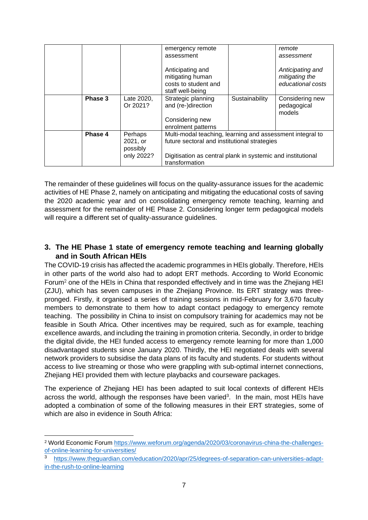|         |                        | emergency remote                                                                 |                | remote                                   |  |  |
|---------|------------------------|----------------------------------------------------------------------------------|----------------|------------------------------------------|--|--|
|         |                        | assessment                                                                       |                |                                          |  |  |
|         |                        | Anticipating and<br>mitigating human<br>costs to student and<br>staff well-being |                |                                          |  |  |
| Phase 3 | Late 2020,<br>Or 2021? | Strategic planning<br>and (re-)direction                                         | Sustainability | Considering new<br>pedagogical<br>models |  |  |
|         |                        | Considering new<br>enrolment patterns                                            |                |                                          |  |  |
| Phase 4 | Perhaps                | Multi-modal teaching, learning and assessment integral to                        |                |                                          |  |  |
|         | 2021, or               | future sectoral and institutional strategies                                     |                |                                          |  |  |
|         | possibly               |                                                                                  |                |                                          |  |  |
|         | only 2022?             | Digitisation as central plank in systemic and institutional<br>transformation    |                |                                          |  |  |

The remainder of these guidelines will focus on the quality-assurance issues for the academic activities of HE Phase 2, namely on anticipating and mitigating the educational costs of saving the 2020 academic year and on consolidating emergency remote teaching, learning and assessment for the remainder of HE Phase 2. Considering longer term pedagogical models will require a different set of quality-assurance guidelines.

## <span id="page-6-0"></span>**3. The HE Phase 1 state of emergency remote teaching and learning globally and in South African HEIs**

The COVID-19 crisis has affected the academic programmes in HEIs globally. Therefore, HEIs in other parts of the world also had to adopt ERT methods. According to World Economic Forum<sup>2</sup> one of the HEIs in China that responded effectively and in time was the Zhejiang HEI (ZJU), which has seven campuses in the Zhejiang Province. Its ERT strategy was threepronged. Firstly, it organised a series of training sessions in mid-February for 3,670 faculty members to demonstrate to them how to adapt contact pedagogy to emergency remote teaching. The possibility in China to insist on compulsory training for academics may not be feasible in South Africa. Other incentives may be required, such as for example, teaching excellence awards, and including the training in promotion criteria. Secondly, in order to bridge the digital divide, the HEI funded access to emergency remote learning for more than 1,000 disadvantaged students since January 2020. Thirdly, the HEI negotiated deals with several network providers to subsidise the data plans of its faculty and students. For students without access to live streaming or those who were grappling with sub-optimal internet connections, Zhejiang HEI provided them with lecture playbacks and courseware packages.

The experience of Zhejiang HEI has been adapted to suit local contexts of different HEIs across the world, although the responses have been varied<sup>3</sup>. In the main, most HEIs have adopted a combination of some of the following measures in their ERT strategies, some of which are also in evidence in South Africa:

<sup>&</sup>lt;sup>2</sup> World Economic Forum [https://www.weforum.org/agenda/2020/03/coronavirus-china-the-challenges](https://www.weforum.org/agenda/2020/03/coronavirus-china-the-challenges-of-online-learning-for-universities/)[of-online-learning-for-universities/](https://www.weforum.org/agenda/2020/03/coronavirus-china-the-challenges-of-online-learning-for-universities/)

<sup>3</sup> [https://www.theguardian.com/education/2020/apr/25/degrees-of-separation-can-universities-adapt](https://www.theguardian.com/education/2020/apr/25/degrees-of-separation-can-universities-adapt-in-the-rush-to-online-learning)[in-the-rush-to-online-learning](https://www.theguardian.com/education/2020/apr/25/degrees-of-separation-can-universities-adapt-in-the-rush-to-online-learning)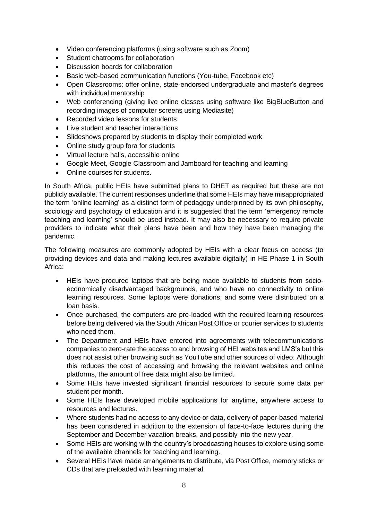- Video conferencing platforms (using software such as Zoom)
- Student chatrooms for collaboration
- Discussion boards for collaboration
- Basic web-based communication functions (You-tube, Facebook etc)
- Open Classrooms: offer online, state-endorsed undergraduate and master's degrees with individual mentorship
- Web conferencing (giving live online classes using software like BigBlueButton and recording images of computer screens using Mediasite)
- Recorded video lessons for students
- Live student and teacher interactions
- Slideshows prepared by students to display their completed work
- Online study group fora for students
- Virtual lecture halls, accessible online
- Google Meet, Google Classroom and Jamboard for teaching and learning
- Online courses for students.

In South Africa, public HEIs have submitted plans to DHET as required but these are not publicly available. The current responses underline that some HEIs may have misappropriated the term 'online learning' as a distinct form of pedagogy underpinned by its own philosophy, sociology and psychology of education and it is suggested that the term 'emergency remote teaching and learning' should be used instead. It may also be necessary to require private providers to indicate what their plans have been and how they have been managing the pandemic.

The following measures are commonly adopted by HEIs with a clear focus on access (to providing devices and data and making lectures available digitally) in HE Phase 1 in South Africa:

- HEIs have procured laptops that are being made available to students from socioeconomically disadvantaged backgrounds, and who have no connectivity to online learning resources. Some laptops were donations, and some were distributed on a loan basis.
- Once purchased, the computers are pre-loaded with the required learning resources before being delivered via the South African Post Office or courier services to students who need them.
- The Department and HEIs have entered into agreements with telecommunications companies to zero-rate the access to and browsing of HEI websites and LMS's but this does not assist other browsing such as YouTube and other sources of video. Although this reduces the cost of accessing and browsing the relevant websites and online platforms, the amount of free data might also be limited.
- Some HEIs have invested significant financial resources to secure some data per student per month.
- Some HEIs have developed mobile applications for anytime, anywhere access to resources and lectures.
- Where students had no access to any device or data, delivery of paper-based material has been considered in addition to the extension of face-to-face lectures during the September and December vacation breaks, and possibly into the new year.
- Some HEIs are working with the country's broadcasting houses to explore using some of the available channels for teaching and learning.
- Several HEIs have made arrangements to distribute, via Post Office, memory sticks or CDs that are preloaded with learning material.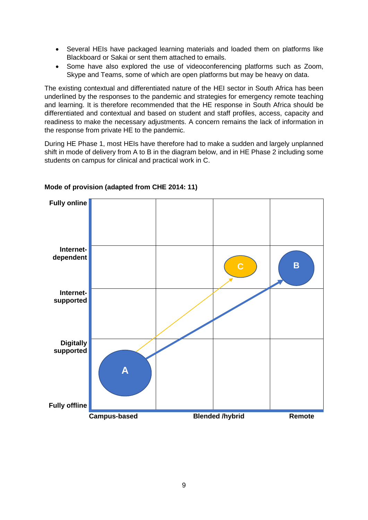- Several HEIs have packaged learning materials and loaded them on platforms like Blackboard or Sakai or sent them attached to emails.
- Some have also explored the use of videoconferencing platforms such as Zoom, Skype and Teams, some of which are open platforms but may be heavy on data.

The existing contextual and differentiated nature of the HEI sector in South Africa has been underlined by the responses to the pandemic and strategies for emergency remote teaching and learning. It is therefore recommended that the HE response in South Africa should be differentiated and contextual and based on student and staff profiles, access, capacity and readiness to make the necessary adjustments. A concern remains the lack of information in the response from private HE to the pandemic.

During HE Phase 1, most HEIs have therefore had to make a sudden and largely unplanned shift in mode of delivery from A to B in the diagram below, and in HE Phase 2 including some students on campus for clinical and practical work in C.



#### **Mode of provision (adapted from CHE 2014: 11)**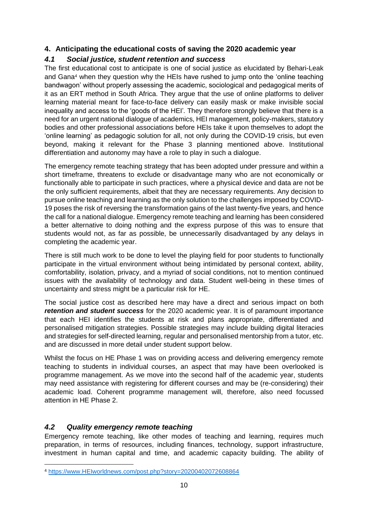## <span id="page-9-0"></span>**4. Anticipating the educational costs of saving the 2020 academic year**

# <span id="page-9-1"></span>*4.1 Social justice, student retention and success*

The first educational cost to anticipate is one of social justice as elucidated by Behari-Leak and Gana<sup>4</sup> when they question why the HEIs have rushed to jump onto the 'online teaching bandwagon' without properly assessing the academic, sociological and pedagogical merits of it as an ERT method in South Africa. They argue that the use of online platforms to deliver learning material meant for face-to-face delivery can easily mask or make invisible social inequality and access to the 'goods of the HEI'*.* They therefore strongly believe that there is a need for an urgent national dialogue of academics, HEI management, policy-makers, statutory bodies and other professional associations before HEIs take it upon themselves to adopt the 'online learning' as pedagogic solution for all, not only during the COVID-19 crisis, but even beyond, making it relevant for the Phase 3 planning mentioned above. Institutional differentiation and autonomy may have a role to play in such a dialogue.

The emergency remote teaching strategy that has been adopted under pressure and within a short timeframe, threatens to exclude or disadvantage many who are not economically or functionally able to participate in such practices, where a physical device and data are not be the only sufficient requirements, albeit that they are necessary requirements. Any decision to pursue online teaching and learning as the only solution to the challenges imposed by COVID-19 poses the risk of reversing the transformation gains of the last twenty-five years, and hence the call for a national dialogue. Emergency remote teaching and learning has been considered a better alternative to doing nothing and the express purpose of this was to ensure that students would not, as far as possible, be unnecessarily disadvantaged by any delays in completing the academic year.

There is still much work to be done to level the playing field for poor students to functionally participate in the virtual environment without being intimidated by personal context, ability, comfortability, isolation, privacy, and a myriad of social conditions, not to mention continued issues with the availability of technology and data. Student well-being in these times of uncertainty and stress might be a particular risk for HE.

The social justice cost as described here may have a direct and serious impact on both *retention and student success* for the 2020 academic year. It is of paramount importance that each HEI identifies the students at risk and plans appropriate, differentiated and personalised mitigation strategies. Possible strategies may include building digital literacies and strategies for self-directed learning, regular and personalised mentorship from a tutor, etc. and are discussed in more detail under student support below.

Whilst the focus on HE Phase 1 was on providing access and delivering emergency remote teaching to students in individual courses, an aspect that may have been overlooked is programme management. As we move into the second half of the academic year, students may need assistance with registering for different courses and may be (re-considering) their academic load. Coherent programme management will, therefore, also need focussed attention in HE Phase 2.

## <span id="page-9-2"></span>*4.2 Quality emergency remote teaching*

Emergency remote teaching, like other modes of teaching and learning, requires much preparation, in terms of resources, including finances, technology, support infrastructure, investment in human capital and time, and academic capacity building. The ability of

<sup>4</sup> [https://www.HEIworldnews.com/post.php?story=20200402072608864](https://www.universityworldnews.com/post.php?story=20200402072608864)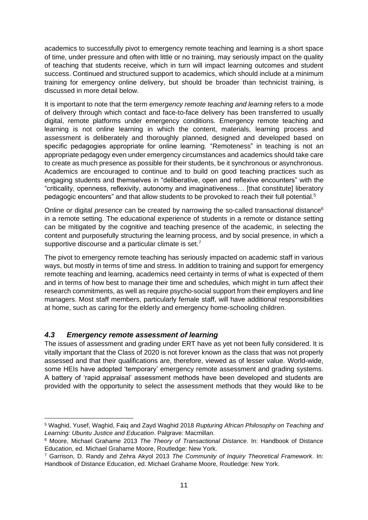academics to successfully pivot to emergency remote teaching and learning is a short space of time, under pressure and often with little or no training, may seriously impact on the quality of teaching that students receive, which in turn will impact learning outcomes and student success. Continued and structured support to academics, which should include at a minimum training for emergency online delivery, but should be broader than technicist training, is discussed in more detail below.

It is important to note that the term *emergency remote teaching and learning* refers to a mode of delivery through which contact and face-to-face delivery has been transferred to usually digital, remote platforms under emergency conditions. Emergency remote teaching and learning is not online learning in which the content, materials, learning process and assessment is deliberately and thoroughly planned, designed and developed based on specific pedagogies appropriate for online learning. "Remoteness" in teaching is not an appropriate pedagogy even under emergency circumstances and academics should take care to create as much presence as possible for their students, be it synchronous or asynchronous. Academics are encouraged to continue and to build on good teaching practices such as engaging students and themselves in "deliberative, open and reflexive encounters" with the "criticality, openness, reflexivity, autonomy and imaginativeness… [that constitute] liberatory pedagogic encounters" and that allow students to be provoked to reach their full potential.<sup>5</sup>

Online or digital *presence* can be created by narrowing the so-called transactional distance<sup>6</sup> in a remote setting. The educational experience of students in a remote or distance setting can be mitigated by the cognitive and teaching presence of the academic, in selecting the content and purposefully structuring the learning process, and by social presence, in which a supportive discourse and a particular climate is set.<sup>7</sup>

The pivot to emergency remote teaching has seriously impacted on academic staff in various ways, but mostly in terms of time and stress. In addition to training and support for emergency remote teaching and learning, academics need certainty in terms of what is expected of them and in terms of how best to manage their time and schedules, which might in turn affect their research commitments, as well as require psycho-social support from their employers and line managers. Most staff members, particularly female staff, will have additional responsibilities at home, such as caring for the elderly and emergency home-schooling children.

## <span id="page-10-0"></span>*4.3 Emergency remote assessment of learning*

The issues of assessment and grading under ERT have as yet not been fully considered. It is vitally important that the Class of 2020 is not forever known as the class that was not properly assessed and that their qualifications are, therefore, viewed as of lesser value. World-wide, some HEIs have adopted 'temporary' emergency remote assessment and grading systems. A battery of 'rapid appraisal' assessment methods have been developed and students are provided with the opportunity to select the assessment methods that they would like to be

<sup>5</sup> Waghid, Yusef, Waghid, Faiq and Zayd Waghid 2018 *Rupturing African Philosophy on Teaching and Learning: Ubuntu Justice and Education*. Palgrave: Macmillan.

<sup>6</sup> Moore, Michael Grahame 2013 *The Theory of Transactional Distance*. In: Handbook of Distance Education, ed. Michael Grahame Moore, Routledge: New York.

<sup>7</sup> Garrison, D. Randy and Zehra Akyol 2013 *The Community of Inquiry Theoretical Framework*. In: Handbook of Distance Education, ed. Michael Grahame Moore, Routledge: New York.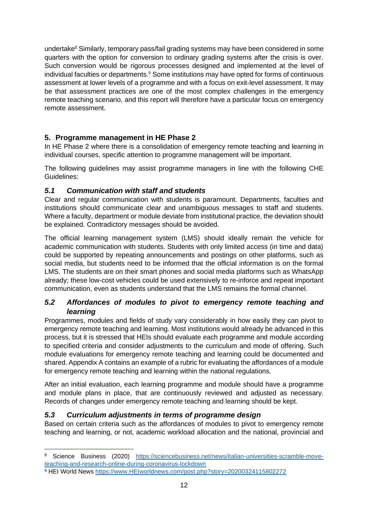undertake<sup>8</sup> Similarly, temporary pass/fail grading systems may have been considered in some quarters with the option for conversion to ordinary grading systems after the crisis is over. Such conversion would be rigorous processes designed and implemented at the level of individual faculties or departments.<sup>9</sup> Some institutions may have opted for forms of continuous assessment at lower levels of a programme and with a focus on exit-level assessment. It may be that assessment practices are one of the most complex challenges in the emergency remote teaching scenario, and this report will therefore have a particular focus on emergency remote assessment.

# <span id="page-11-0"></span>**5. Programme management in HE Phase 2**

In HE Phase 2 where there is a consolidation of emergency remote teaching and learning in individual courses, specific attention to programme management will be important.

The following guidelines may assist programme managers in line with the following CHE Guidelines:

## <span id="page-11-1"></span>*5.1 Communication with staff and students*

Clear and regular communication with students is paramount. Departments, faculties and institutions should communicate clear and unambiguous messages to staff and students. Where a faculty, department or module deviate from institutional practice, the deviation should be explained. Contradictory messages should be avoided.

The official learning management system (LMS) should ideally remain the vehicle for academic communication with students. Students with only limited access (in time and data) could be supported by repeating announcements and postings on other platforms, such as social media, but students need to be informed that the official information is on the formal LMS. The students are on their smart phones and social media platforms such as WhatsApp already; these low-cost vehicles could be used extensively to re-inforce and repeat important communication, even as students understand that the LMS remains the formal channel.

## <span id="page-11-2"></span>*5.2 Affordances of modules to pivot to emergency remote teaching and learning*

Programmes, modules and fields of study vary considerably in how easily they can pivot to emergency remote teaching and learning. Most institutions would already be advanced in this process, but it is stressed that HEIs should evaluate each programme and module according to specified criteria and consider adjustments to the curriculum and mode of offering. Such module evaluations for emergency remote teaching and learning could be documented and shared. Appendix A contains an example of a rubric for evaluating the affordances of a module for emergency remote teaching and learning within the national regulations.

After an initial evaluation, each learning programme and module should have a programme and module plans in place, that are continuously reviewed and adjusted as necessary. Records of changes under emergency remote teaching and learning should be kept.

## <span id="page-11-3"></span>*5.3 Curriculum adjustments in terms of programme design*

Based on certain criteria such as the affordances of modules to pivot to emergency remote teaching and learning, or not, academic workload allocation and the national, provincial and

<sup>8</sup> Science Business (2020) [https://sciencebusiness.net/news/italian-universities-scramble-move](https://sciencebusiness.net/news/italian-universities-scramble-move-teaching-and-research-online-during-coronavirus-lockdown)[teaching-and-research-online-during-coronavirus-lockdown](https://sciencebusiness.net/news/italian-universities-scramble-move-teaching-and-research-online-during-coronavirus-lockdown)

<sup>9</sup> HEI World News [https://www.HEIworldnews.com/post.php?story=20200324115802272](https://www.universityworldnews.com/post.php?story=20200324115802272)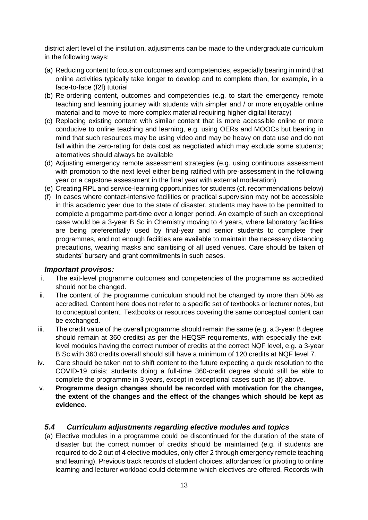district alert level of the institution, adjustments can be made to the undergraduate curriculum in the following ways:

- (a) Reducing content to focus on outcomes and competencies, especially bearing in mind that online activities typically take longer to develop and to complete than, for example, in a face-to-face (f2f) tutorial
- (b) Re-ordering content, outcomes and competencies (e.g. to start the emergency remote teaching and learning journey with students with simpler and / or more enjoyable online material and to move to more complex material requiring higher digital literacy)
- (c) Replacing existing content with similar content that is more accessible online or more conducive to online teaching and learning, e.g. using OERs and MOOCs but bearing in mind that such resources may be using video and may be heavy on data use and do not fall within the zero-rating for data cost as negotiated which may exclude some students; alternatives should always be available
- (d) Adjusting emergency remote assessment strategies (e.g. using continuous assessment with promotion to the next level either being ratified with pre-assessment in the following year or a capstone assessment in the final year with external moderation)
- (e) Creating RPL and service-learning opportunities for students (cf. recommendations below)
- (f) In cases where contact-intensive facilities or practical supervision may not be accessible in this academic year due to the state of disaster, students may have to be permitted to complete a progamme part-time over a longer period. An example of such an exceptional case would be a 3-year B Sc in Chemistry moving to 4 years, where laboratory facilities are being preferentially used by final-year and senior students to complete their programmes, and not enough facilities are available to maintain the necessary distancing precautions, wearing masks and sanitising of all used venues. Care should be taken of students' bursary and grant commitments in such cases.

#### <span id="page-12-0"></span>*Important provisos:*

- i. The exit-level programme outcomes and competencies of the programme as accredited should not be changed.
- ii. The content of the programme curriculum should not be changed by more than 50% as accredited. Content here does not refer to a specific set of textbooks or lecturer notes, but to conceptual content. Textbooks or resources covering the same conceptual content can be exchanged.
- iii. The credit value of the overall programme should remain the same (e.g. a 3-year B degree should remain at 360 credits) as per the HEQSF requirements, with especially the exitlevel modules having the correct number of credits at the correct NQF level, e.g. a 3-year B Sc with 360 credits overall should still have a minimum of 120 credits at NQF level 7.
- iv. Care should be taken not to shift content to the future expecting a quick resolution to the COVID-19 crisis; students doing a full-time 360-credit degree should still be able to complete the programme in 3 years, except in exceptional cases such as (f) above.
- v. **Programme design changes should be recorded with motivation for the changes, the extent of the changes and the effect of the changes which should be kept as evidence**.

#### <span id="page-12-1"></span>*5.4 Curriculum adjustments regarding elective modules and topics*

(a) Elective modules in a programme could be discontinued for the duration of the state of disaster but the correct number of credits should be maintained (e.g. if students are required to do 2 out of 4 elective modules, only offer 2 through emergency remote teaching and learning). Previous track records of student choices, affordances for pivoting to online learning and lecturer workload could determine which electives are offered. Records with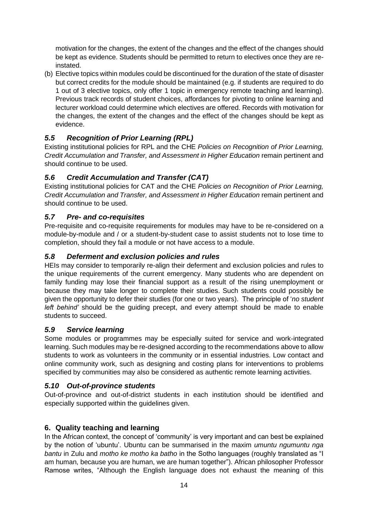motivation for the changes, the extent of the changes and the effect of the changes should be kept as evidence. Students should be permitted to return to electives once they are reinstated.

(b) Elective topics within modules could be discontinued for the duration of the state of disaster but correct credits for the module should be maintained (e.g. if students are required to do 1 out of 3 elective topics, only offer 1 topic in emergency remote teaching and learning). Previous track records of student choices, affordances for pivoting to online learning and lecturer workload could determine which electives are offered. Records with motivation for the changes, the extent of the changes and the effect of the changes should be kept as evidence.

# <span id="page-13-0"></span>*5.5 Recognition of Prior Learning (RPL)*

Existing institutional policies for RPL and the CHE *Policies on Recognition of Prior Learning, Credit Accumulation and Transfer, and Assessment in Higher Education* remain pertinent and should continue to be used.

## <span id="page-13-1"></span>*5.6 Credit Accumulation and Transfer (CAT)*

Existing institutional policies for CAT and the CHE *Policies on Recognition of Prior Learning, Credit Accumulation and Transfer, and Assessment in Higher Education* remain pertinent and should continue to be used.

## <span id="page-13-2"></span>*5.7 Pre- and co-requisites*

Pre-requisite and co-requisite requirements for modules may have to be re-considered on a module-by-module and / or a student-by-student case to assist students not to lose time to completion, should they fail a module or not have access to a module.

## <span id="page-13-3"></span>*5.8 Deferment and exclusion policies and rules*

HEIs may consider to temporarily re-align their deferment and exclusion policies and rules to the unique requirements of the current emergency. Many students who are dependent on family funding may lose their financial support as a result of the rising unemployment or because they may take longer to complete their studies. Such students could possibly be given the opportunity to defer their studies (for one or two years). The principle of '*no student left behind'* should be the guiding precept, and every attempt should be made to enable students to succeed.

#### <span id="page-13-4"></span>*5.9 Service learning*

Some modules or programmes may be especially suited for service and work-integrated learning. Such modules may be re-designed according to the recommendations above to allow students to work as volunteers in the community or in essential industries. Low contact and online community work, such as designing and costing plans for interventions to problems specified by communities may also be considered as authentic remote learning activities.

## <span id="page-13-5"></span>*5.10 Out-of-province students*

Out-of-province and out-of-district students in each institution should be identified and especially supported within the guidelines given.

#### <span id="page-13-6"></span>**6. Quality teaching and learning**

In the African context, the concept of 'community' is very important and can best be explained by the notion of 'ubuntu'. Ubuntu can be summarised in the maxim *umuntu ngumuntu nga bantu* in Zulu and *motho ke motho ka batho* in the Sotho languages (roughly translated as "I am human, because you are human, we are human together"). African philosopher Professor Ramose writes, "Although the English language does not exhaust the meaning of this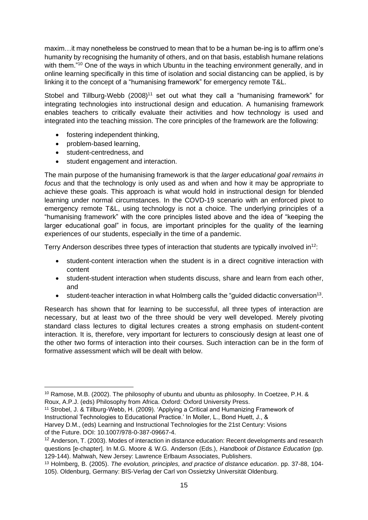maxim…it may nonetheless be construed to mean that to be a human be-ing is to affirm one's humanity by recognising the humanity of others, and on that basis, establish humane relations with them."<sup>10</sup> One of the ways in which Ubuntu in the teaching environment generally, and in online learning specifically in this time of isolation and social distancing can be applied, is by linking it to the concept of a "humanising framework" for emergency remote T&L.

Stobel and Tillburg-Webb (2008)<sup>11</sup> set out what they call a "humanising framework" for integrating technologies into instructional design and education. A humanising framework enables teachers to critically evaluate their activities and how technology is used and integrated into the teaching mission. The core principles of the framework are the following:

- fostering independent thinking,
- problem-based learning,
- student-centredness, and
- student engagement and interaction.

The main purpose of the humanising framework is that the *larger educational goal remains in focus* and that the technology is only used as and when and how it may be appropriate to achieve these goals. This approach is what would hold in instructional design for blended learning under normal circumstances. In the COVD-19 scenario with an enforced pivot to emergency remote T&L, using technology is not a choice. The underlying principles of a "humanising framework" with the core principles listed above and the idea of "keeping the larger educational goal" in focus, are important principles for the quality of the learning experiences of our students, especially in the time of a pandemic.

Terry Anderson describes three types of interaction that students are typically involved in<sup>12</sup>:

- student-content interaction when the student is in a direct cognitive interaction with content
- student-student interaction when students discuss, share and learn from each other, and
- student-teacher interaction in what Holmberg calls the "guided didactic conversation<sup>13</sup>.

Research has shown that for learning to be successful, all three types of interaction are necessary, but at least two of the three should be very well developed. Merely pivoting standard class lectures to digital lectures creates a strong emphasis on student-content interaction. It is, therefore, very important for lecturers to consciously design at least one of the other two forms of interaction into their courses. Such interaction can be in the form of formative assessment which will be dealt with below.

- <sup>11</sup> Strobel, J. & Tillburg-Webb, H. (2009). 'Applying a Critical and Humanizing Framework of Instructional Technologies to Educational Practice.' In Moller, L., Bond Huett, J., &
- Harvey D.M., (eds) Learning and Instructional Technologies for the 21st Century: Visions of the Future. DOI: 10.1007/978-0-387-09667-4.

<sup>10</sup> Ramose, M.B. (2002). The philosophy of ubuntu and ubuntu as philosophy. In Coetzee, P.H. & Roux, A.P.J. (eds) Philosophy from Africa. Oxford: Oxford University Press.

 $12$  Anderson, T. (2003). Modes of interaction in distance education: Recent developments and research questions [e-chapter]. In M.G. Moore & W.G. Anderson (Eds.), *Handbook of Distance Education* (pp. 129-144). Mahwah, New Jersey: Lawrence Erlbaum Associates, Publishers.

<sup>13</sup> Holmberg, B. (2005). *The evolution, principles, and practice of distance education*. pp. 37-88, 104- 105). Oldenburg, Germany: BIS-Verlag der Carl von Ossietzky Universität Oldenburg.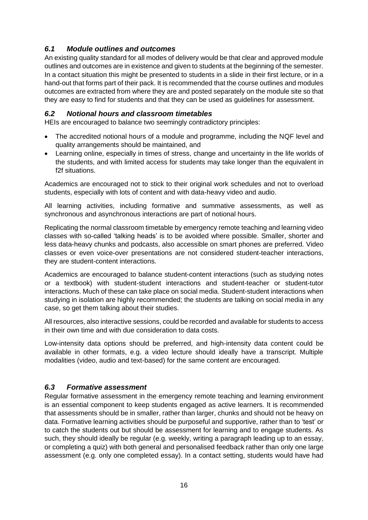# <span id="page-15-0"></span>*6.1 Module outlines and outcomes*

An existing quality standard for all modes of delivery would be that clear and approved module outlines and outcomes are in existence and given to students at the beginning of the semester. In a contact situation this might be presented to students in a slide in their first lecture, or in a hand-out that forms part of their pack. It is recommended that the course outlines and modules outcomes are extracted from where they are and posted separately on the module site so that they are easy to find for students and that they can be used as guidelines for assessment.

## <span id="page-15-1"></span>*6.2 Notional hours and classroom timetables*

HEIs are encouraged to balance two seemingly contradictory principles:

- The accredited notional hours of a module and programme, including the NQF level and quality arrangements should be maintained, and
- Learning online, especially in times of stress, change and uncertainty in the life worlds of the students, and with limited access for students may take longer than the equivalent in f2f situations.

Academics are encouraged not to stick to their original work schedules and not to overload students, especially with lots of content and with data-heavy video and audio.

All learning activities, including formative and summative assessments, as well as synchronous and asynchronous interactions are part of notional hours.

Replicating the normal classroom timetable by emergency remote teaching and learning video classes with so-called 'talking heads' is to be avoided where possible. Smaller, shorter and less data-heavy chunks and podcasts, also accessible on smart phones are preferred. Video classes or even voice-over presentations are not considered student-teacher interactions, they are student-content interactions.

Academics are encouraged to balance student-content interactions (such as studying notes or a textbook) with student-student interactions and student-teacher or student-tutor interactions. Much of these can take place on social media. Student-student interactions when studying in isolation are highly recommended; the students are talking on social media in any case, so get them talking about their studies.

All resources, also interactive sessions, could be recorded and available for students to access in their own time and with due consideration to data costs.

Low-intensity data options should be preferred, and high-intensity data content could be available in other formats, e.g. a video lecture should ideally have a transcript. Multiple modalities (video, audio and text-based) for the same content are encouraged.

## <span id="page-15-2"></span>*6.3 Formative assessment*

Regular formative assessment in the emergency remote teaching and learning environment is an essential component to keep students engaged as active learners. It is recommended that assessments should be in smaller, rather than larger, chunks and should not be heavy on data. Formative learning activities should be purposeful and supportive, rather than to 'test' or to catch the students out but should be assessment for learning and to engage students. As such, they should ideally be regular (e.g. weekly, writing a paragraph leading up to an essay, or completing a quiz) with both general and personalised feedback rather than only one large assessment (e.g. only one completed essay). In a contact setting, students would have had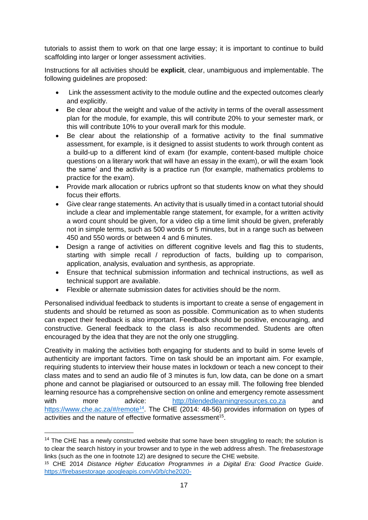tutorials to assist them to work on that one large essay; it is important to continue to build scaffolding into larger or longer assessment activities.

Instructions for all activities should be **explicit**, clear, unambiguous and implementable. The following guidelines are proposed:

- Link the assessment activity to the module outline and the expected outcomes clearly and explicitly.
- Be clear about the weight and value of the activity in terms of the overall assessment plan for the module, for example, this will contribute 20% to your semester mark, or this will contribute 10% to your overall mark for this module.
- Be clear about the relationship of a formative activity to the final summative assessment, for example, is it designed to assist students to work through content as a build-up to a different kind of exam (for example, content-based multiple choice questions on a literary work that will have an essay in the exam), or will the exam 'look the same' and the activity is a practice run (for example, mathematics problems to practice for the exam).
- Provide mark allocation or rubrics upfront so that students know on what they should focus their efforts.
- Give clear range statements. An activity that is usually timed in a contact tutorial should include a clear and implementable range statement, for example, for a written activity a word count should be given, for a video clip a time limit should be given, preferably not in simple terms, such as 500 words or 5 minutes, but in a range such as between 450 and 550 words or between 4 and 6 minutes.
- Design a range of activities on different cognitive levels and flag this to students, starting with simple recall / reproduction of facts, building up to comparison, application, analysis, evaluation and synthesis, as appropriate.
- Ensure that technical submission information and technical instructions, as well as technical support are available.
- Flexible or alternate submission dates for activities should be the norm.

Personalised individual feedback to students is important to create a sense of engagement in students and should be returned as soon as possible. Communication as to when students can expect their feedback is also important. Feedback should be positive, encouraging, and constructive. General feedback to the class is also recommended. Students are often encouraged by the idea that they are not the only one struggling.

Creativity in making the activities both engaging for students and to build in some levels of authenticity are important factors. Time on task should be an important aim. For example, requiring students to interview their house mates in lockdown or teach a new concept to their class mates and to send an audio file of 3 minutes is fun, low data, can be done on a smart phone and cannot be plagiarised or outsourced to an essay mill. The following free blended learning resource has a comprehensive section on online and emergency remote assessment with more advice: [http://blendedlearningresources.co.za](http://blendedlearningresources.co.za/) and <https://www.che.ac.za/#/remote><sup>14</sup>. The CHE (2014: 48-56) provides information on types of activities and the nature of effective formative assessment<sup>15</sup>.

<sup>&</sup>lt;sup>14</sup> The CHE has a newly constructed website that some have been struggling to reach; the solution is to clear the search history in your browser and to type in the web address afresh. The *firebasestorage* links (such as the one in footnote 12) are designed to secure the CHE website.

<sup>15</sup> CHE 2014 *Distance Higher Education Programmes in a Digital Era: Good Practice Guide*. [https://firebasestorage.googleapis.com/v0/b/che2020-](https://firebasestorage.googleapis.com/v0/b/che2020-c5efd.appspot.com/o/website%2Feqc0cembdec1.pdf?alt=media&token=0620fdfd-2222-48f4-b440-3b9ea73e9761)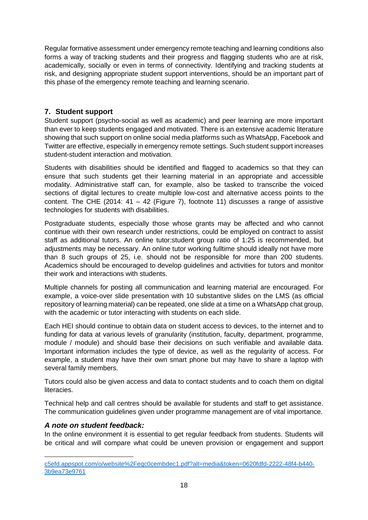Regular formative assessment under emergency remote teaching and learning conditions also forms a way of tracking students and their progress and flagging students who are at risk, academically, socially or even in terms of connectivity. Identifying and tracking students at risk, and designing appropriate student support interventions, should be an important part of this phase of the emergency remote teaching and learning scenario.

## <span id="page-17-0"></span>**7. Student support**

Student support (psycho-social as well as academic) and peer learning are more important than ever to keep students engaged and motivated. There is an extensive academic literature showing that such support on online social media platforms such as WhatsApp, Facebook and Twitter are effective, especially in emergency remote settings. Such student support increases student-student interaction and motivation.

Students with disabilities should be identified and flagged to academics so that they can ensure that such students get their learning material in an appropriate and accessible modality. Administrative staff can, for example, also be tasked to transcribe the voiced sections of digital lectures to create multiple low-cost and alternative access points to the content. The CHE (2014:  $41 - 42$  (Figure 7), footnote 11) discusses a range of assistive technologies for students with disabilities.

Postgraduate students, especially those whose grants may be affected and who cannot continue with their own research under restrictions, could be employed on contract to assist staff as additional tutors. An online tutor:student group ratio of 1:25 is recommended, but adjustments may be necessary. An online tutor working fulltime should ideally not have more than 8 such groups of 25, i.e. should not be responsible for more than 200 students. Academics should be encouraged to develop guidelines and activities for tutors and monitor their work and interactions with students.

Multiple channels for posting all communication and learning material are encouraged. For example, a voice-over slide presentation with 10 substantive slides on the LMS (as official repository of learning material) can be repeated, one slide at a time on a WhatsApp chat group, with the academic or tutor interacting with students on each slide.

Each HEI should continue to obtain data on student access to devices, to the internet and to funding for data at various levels of granularity (institution, faculty, department, programme, module / module) and should base their decisions on such verifiable and available data. Important information includes the type of device, as well as the regularity of access. For example, a student may have their own smart phone but may have to share a laptop with several family members.

Tutors could also be given access and data to contact students and to coach them on digital literacies.

Technical help and call centres should be available for students and staff to get assistance. The communication guidelines given under programme management are of vital importance.

## <span id="page-17-1"></span>*A note on student feedback:*

In the online environment it is essential to get regular feedback from students. Students will be critical and will compare what could be uneven provision or engagement and support

[c5efd.appspot.com/o/website%2Feqc0cembdec1.pdf?alt=media&token=0620fdfd-2222-48f4-b440-](https://firebasestorage.googleapis.com/v0/b/che2020-c5efd.appspot.com/o/website%2Feqc0cembdec1.pdf?alt=media&token=0620fdfd-2222-48f4-b440-3b9ea73e9761) [3b9ea73e9761](https://firebasestorage.googleapis.com/v0/b/che2020-c5efd.appspot.com/o/website%2Feqc0cembdec1.pdf?alt=media&token=0620fdfd-2222-48f4-b440-3b9ea73e9761)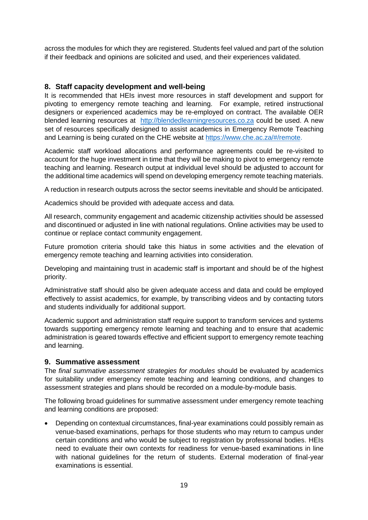across the modules for which they are registered. Students feel valued and part of the solution if their feedback and opinions are solicited and used, and their experiences validated.

## <span id="page-18-0"></span>**8. Staff capacity development and well-being**

It is recommended that HEIs invest more resources in staff development and support for pivoting to emergency remote teaching and learning. For example, retired instructional designers or experienced academics may be re-employed on contract. The available OER blended learning resources at [http://blendedlearningresources.co.za](http://blendedlearningresources.co.za/) could be used. A new set of resources specifically designed to assist academics in Emergency Remote Teaching and Learning is being curated on the CHE website at [https://www.che.ac.za/#/remote.](https://www.che.ac.za/#/remote)

Academic staff workload allocations and performance agreements could be re-visited to account for the huge investment in time that they will be making to pivot to emergency remote teaching and learning. Research output at individual level should be adjusted to account for the additional time academics will spend on developing emergency remote teaching materials.

A reduction in research outputs across the sector seems inevitable and should be anticipated.

Academics should be provided with adequate access and data.

All research, community engagement and academic citizenship activities should be assessed and discontinued or adjusted in line with national regulations. Online activities may be used to continue or replace contact community engagement.

Future promotion criteria should take this hiatus in some activities and the elevation of emergency remote teaching and learning activities into consideration.

Developing and maintaining trust in academic staff is important and should be of the highest priority.

Administrative staff should also be given adequate access and data and could be employed effectively to assist academics, for example, by transcribing videos and by contacting tutors and students individually for additional support.

Academic support and administration staff require support to transform services and systems towards supporting emergency remote learning and teaching and to ensure that academic administration is geared towards effective and efficient support to emergency remote teaching and learning.

#### <span id="page-18-1"></span>**9. Summative assessment**

The *final summative assessment strategies for modules* should be evaluated by academics for suitability under emergency remote teaching and learning conditions, and changes to assessment strategies and plans should be recorded on a module-by-module basis.

The following broad guidelines for summative assessment under emergency remote teaching and learning conditions are proposed:

• Depending on contextual circumstances, final-year examinations could possibly remain as venue-based examinations, perhaps for those students who may return to campus under certain conditions and who would be subject to registration by professional bodies. HEIs need to evaluate their own contexts for readiness for venue-based examinations in line with national guidelines for the return of students. External moderation of final-year examinations is essential.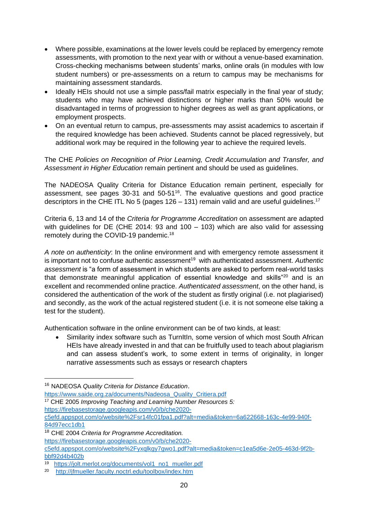- Where possible, examinations at the lower levels could be replaced by emergency remote assessments, with promotion to the next year with or without a venue-based examination. Cross-checking mechanisms between students' marks, online orals (in modules with low student numbers) or pre-assessments on a return to campus may be mechanisms for maintaining assessment standards.
- Ideally HEIs should not use a simple pass/fail matrix especially in the final year of study; students who may have achieved distinctions or higher marks than 50% would be disadvantaged in terms of progression to higher degrees as well as grant applications, or employment prospects.
- On an eventual return to campus, pre-assessments may assist academics to ascertain if the required knowledge has been achieved. Students cannot be placed regressively, but additional work may be required in the following year to achieve the required levels.

The CHE *Policies on Recognition of Prior Learning, Credit Accumulation and Transfer, and Assessment in Higher Education* remain pertinent and should be used as guidelines.

The NADEOSA Quality Criteria for Distance Education remain pertinent, especially for assessment, see pages  $30-31$  and  $50-51^{16}$ . The evaluative questions and good practice descriptors in the CHE ITL No 5 (pages 126 – 131) remain valid and are useful guidelines.<sup>17</sup>

Criteria 6, 13 and 14 of the *Criteria for Programme Accreditation* on assessment are adapted with guidelines for DE (CHE 2014: 93 and 100 – 103) which are also valid for assessing remotely during the COVID-19 pandemic.<sup>18</sup>

*A note on authenticity*: In the online environment and with emergency remote assessment it is important not to confuse authentic assessment<sup>19</sup> with authenticated assessment. Authentic *assessment* is "a form of assessment in which students are asked to perform real-world tasks that demonstrate meaningful application of essential knowledge and skills<sup>"20</sup> and is an excellent and recommended online practice. *Authenticated assessment*, on the other hand, is considered the authentication of the work of the student as firstly original (i.e. not plagiarised) and secondly, as the work of the actual registered student (i.e. it is not someone else taking a test for the student).

Authentication software in the online environment can be of two kinds, at least:

Similarity index software such as TurnItIn, some version of which most South African HEIs have already invested in and that can be fruitfully used to teach about plagiarism and can assess student's work, to some extent in terms of originality, in longer narrative assessments such as essays or research chapters

<sup>18</sup> CHE 2004 *Criteria for Programme Accreditation.* 

[c5efd.appspot.com/o/website%2Fyxqlkgy7gwo1.pdf?alt=media&token=c1ea5d6e-2e05-463d-9f2b](https://firebasestorage.googleapis.com/v0/b/che2020-c5efd.appspot.com/o/website%2Fyxqlkgy7gwo1.pdf?alt=media&token=c1ea5d6e-2e05-463d-9f2b-bbf92d4b402b)[bbf92d4b402b](https://firebasestorage.googleapis.com/v0/b/che2020-c5efd.appspot.com/o/website%2Fyxqlkgy7gwo1.pdf?alt=media&token=c1ea5d6e-2e05-463d-9f2b-bbf92d4b402b)

<sup>16</sup> NADEOSA *Quality Criteria for Distance Education*.

[https://www.saide.org.za/documents/Nadeosa\\_Quality\\_Critiera.pdf](https://www.saide.org.za/documents/Nadeosa_Quality_Critiera.pdf)

<sup>17</sup> CHE 2005 *Improving Teaching and Learning Number Resources 5:* 

[https://firebasestorage.googleapis.com/v0/b/che2020-](https://firebasestorage.googleapis.com/v0/b/che2020-c5efd.appspot.com/o/website%2Fsr14fc01fpa1.pdf?alt=media&token=6a622668-163c-4e99-940f-84d97ecc1db1)

[c5efd.appspot.com/o/website%2Fsr14fc01fpa1.pdf?alt=media&token=6a622668-163c-4e99-940f-](https://firebasestorage.googleapis.com/v0/b/che2020-c5efd.appspot.com/o/website%2Fsr14fc01fpa1.pdf?alt=media&token=6a622668-163c-4e99-940f-84d97ecc1db1)[84d97ecc1db1](https://firebasestorage.googleapis.com/v0/b/che2020-c5efd.appspot.com/o/website%2Fsr14fc01fpa1.pdf?alt=media&token=6a622668-163c-4e99-940f-84d97ecc1db1)

[https://firebasestorage.googleapis.com/v0/b/che2020-](https://firebasestorage.googleapis.com/v0/b/che2020-c5efd.appspot.com/o/website%2Fyxqlkgy7gwo1.pdf?alt=media&token=c1ea5d6e-2e05-463d-9f2b-bbf92d4b402b)

<sup>19</sup> [https://jolt.merlot.org/documents/vol1\\_no1\\_mueller.pdf](https://jolt.merlot.org/documents/vol1_no1_mueller.pdf)

<sup>&</sup>lt;sup>20</sup> <http://jfmueller.faculty.noctrl.edu/toolbox/index.htm>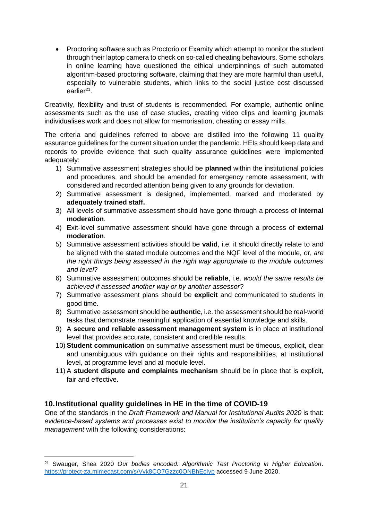• Proctoring software such as Proctorio or Examity which attempt to monitor the student through their laptop camera to check on so-called cheating behaviours. Some scholars in online learning have questioned the ethical underpinnings of such automated algorithm-based proctoring software, claiming that they are more harmful than useful, especially to vulnerable students, which links to the social justice cost discussed earlier<sup>21</sup>.

Creativity, flexibility and trust of students is recommended. For example, authentic online assessments such as the use of case studies, creating video clips and learning journals individualises work and does not allow for memorisation, cheating or essay mills.

The criteria and guidelines referred to above are distilled into the following 11 quality assurance guidelines for the current situation under the pandemic. HEIs should keep data and records to provide evidence that such quality assurance guidelines were implemented adequately:

- 1) Summative assessment strategies should be **planned** within the institutional policies and procedures, and should be amended for emergency remote assessment, with considered and recorded attention being given to any grounds for deviation.
- 2) Summative assessment is designed, implemented, marked and moderated by **adequately trained staff.**
- 3) All levels of summative assessment should have gone through a process of **internal moderation**.
- 4) Exit-level summative assessment should have gone through a process of **external moderation**.
- 5) Summative assessment activities should be **valid**, i.e. it should directly relate to and be aligned with the stated module outcomes and the NQF level of the module, or, *are the right things being assessed in the right way appropriate to the module outcomes and level*?
- 6) Summative assessment outcomes should be **reliable**, i.e. *would the same results be achieved if assessed another way or by another assessor*?
- 7) Summative assessment plans should be **explicit** and communicated to students in good time.
- 8) Summative assessment should be **authentic**, i.e. the assessment should be real-world tasks that demonstrate meaningful application of essential knowledge and skills.
- 9) A **secure and reliable assessment management system** is in place at institutional level that provides accurate, consistent and credible results.
- 10) **Student communication** on summative assessment must be timeous, explicit, clear and unambiguous with guidance on their rights and responsibilities, at institutional level, at programme level and at module level.
- 11) A **student dispute and complaints mechanism** should be in place that is explicit, fair and effective.

## <span id="page-20-0"></span>**10.Institutional quality guidelines in HE in the time of COVID-19**

One of the standards in the *Draft Framework and Manual for Institutional Audits 2020* is that: *evidence-based systems and processes exist to monitor the institution's capacity for quality management* with the following considerations:

<sup>21</sup> Swauger, Shea 2020 *Our bodies encoded: Algorithmic Test Proctoring in Higher Education*. <https://protect-za.mimecast.com/s/Vvk8CO7Gzzc0ONBhEcIyp> accessed 9 June 2020.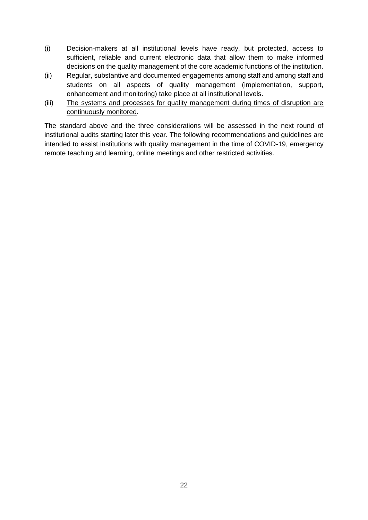- (i) Decision-makers at all institutional levels have ready, but protected, access to sufficient, reliable and current electronic data that allow them to make informed decisions on the quality management of the core academic functions of the institution.
- (ii) Regular, substantive and documented engagements among staff and among staff and students on all aspects of quality management (implementation, support, enhancement and monitoring) take place at all institutional levels.
- (iii) The systems and processes for quality management during times of disruption are continuously monitored.

The standard above and the three considerations will be assessed in the next round of institutional audits starting later this year. The following recommendations and guidelines are intended to assist institutions with quality management in the time of COVID-19, emergency remote teaching and learning, online meetings and other restricted activities.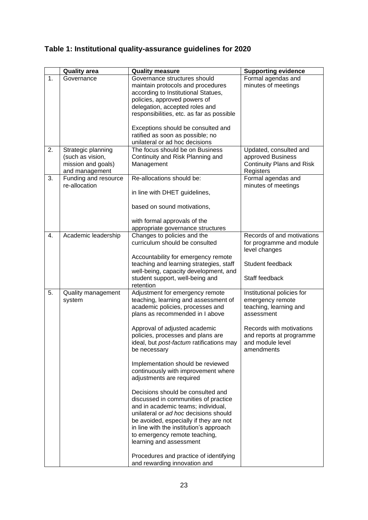# <span id="page-22-0"></span>**Table 1: Institutional quality-assurance guidelines for 2020**

|    | <b>Quality area</b>                                                            | <b>Quality measure</b>                                                                                                                                                                                                                                                                                                                                                                                                                                                                                                                                                                                                                                                                                                                                                          | <b>Supporting evidence</b>                                                                                                                                                       |
|----|--------------------------------------------------------------------------------|---------------------------------------------------------------------------------------------------------------------------------------------------------------------------------------------------------------------------------------------------------------------------------------------------------------------------------------------------------------------------------------------------------------------------------------------------------------------------------------------------------------------------------------------------------------------------------------------------------------------------------------------------------------------------------------------------------------------------------------------------------------------------------|----------------------------------------------------------------------------------------------------------------------------------------------------------------------------------|
| 1. | Governance                                                                     | Governance structures should<br>maintain protocols and procedures<br>according to Institutional Statues,<br>policies, approved powers of<br>delegation, accepted roles and<br>responsibilities, etc. as far as possible                                                                                                                                                                                                                                                                                                                                                                                                                                                                                                                                                         | Formal agendas and<br>minutes of meetings                                                                                                                                        |
|    |                                                                                | Exceptions should be consulted and<br>ratified as soon as possible; no<br>unilateral or ad hoc decisions                                                                                                                                                                                                                                                                                                                                                                                                                                                                                                                                                                                                                                                                        |                                                                                                                                                                                  |
| 2. | Strategic planning<br>(such as vision,<br>mission and goals)<br>and management | The focus should be on Business<br>Continuity and Risk Planning and<br>Management                                                                                                                                                                                                                                                                                                                                                                                                                                                                                                                                                                                                                                                                                               | Updated, consulted and<br>approved Business<br><b>Continuity Plans and Risk</b><br>Registers                                                                                     |
| 3. | Funding and resource<br>re-allocation                                          | Re-allocations should be:<br>in line with DHET guidelines,<br>based on sound motivations,<br>with formal approvals of the<br>appropriate governance structures                                                                                                                                                                                                                                                                                                                                                                                                                                                                                                                                                                                                                  | Formal agendas and<br>minutes of meetings                                                                                                                                        |
| 4. | Academic leadership                                                            | Changes to policies and the<br>curriculum should be consulted<br>Accountability for emergency remote<br>teaching and learning strategies, staff<br>well-being, capacity development, and<br>student support, well-being and<br>retention                                                                                                                                                                                                                                                                                                                                                                                                                                                                                                                                        | Records of and motivations<br>for programme and module<br>level changes<br>Student feedback<br>Staff feedback                                                                    |
| 5. | Quality management<br>system                                                   | Adjustment for emergency remote<br>teaching, learning and assessment of<br>academic policies, processes and<br>plans as recommended in I above<br>Approval of adjusted academic<br>policies, processes and plans are<br>ideal, but post-factum ratifications may<br>be necessary<br>Implementation should be reviewed<br>continuously with improvement where<br>adjustments are required<br>Decisions should be consulted and<br>discussed in communities of practice<br>and in academic teams; individual,<br>unilateral or ad hoc decisions should<br>be avoided, especially if they are not<br>in line with the institution's approach<br>to emergency remote teaching,<br>learning and assessment<br>Procedures and practice of identifying<br>and rewarding innovation and | Institutional policies for<br>emergency remote<br>teaching, learning and<br>assessment<br>Records with motivations<br>and reports at programme<br>and module level<br>amendments |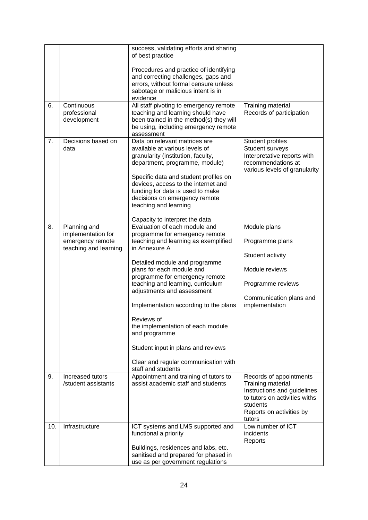|     |                             | success, validating efforts and sharing<br>of best practice                  |                                                              |
|-----|-----------------------------|------------------------------------------------------------------------------|--------------------------------------------------------------|
|     |                             |                                                                              |                                                              |
|     |                             | Procedures and practice of identifying                                       |                                                              |
|     |                             | and correcting challenges, gaps and                                          |                                                              |
|     |                             | errors, without formal censure unless                                        |                                                              |
|     |                             | sabotage or malicious intent is in                                           |                                                              |
|     |                             | evidence                                                                     |                                                              |
| 6.  | Continuous                  | All staff pivoting to emergency remote                                       | Training material                                            |
|     | professional<br>development | teaching and learning should have<br>been trained in the method(s) they will | Records of participation                                     |
|     |                             | be using, including emergency remote                                         |                                                              |
|     |                             | assessment                                                                   |                                                              |
| 7.  | Decisions based on          | Data on relevant matrices are                                                | Student profiles                                             |
|     | data                        | available at various levels of                                               | Student surveys                                              |
|     |                             | granularity (institution, faculty,                                           | Interpretative reports with                                  |
|     |                             | department, programme, module)                                               | recommendations at<br>various levels of granularity          |
|     |                             | Specific data and student profiles on                                        |                                                              |
|     |                             | devices, access to the internet and                                          |                                                              |
|     |                             | funding for data is used to make                                             |                                                              |
|     |                             | decisions on emergency remote                                                |                                                              |
|     |                             | teaching and learning                                                        |                                                              |
|     |                             | Capacity to interpret the data                                               |                                                              |
| 8.  | Planning and                | Evaluation of each module and                                                | Module plans                                                 |
|     | implementation for          | programme for emergency remote                                               |                                                              |
|     | emergency remote            | teaching and learning as exemplified                                         | Programme plans                                              |
|     | teaching and learning       | in Annexure A                                                                |                                                              |
|     |                             |                                                                              | Student activity                                             |
|     |                             | Detailed module and programme                                                |                                                              |
|     |                             | plans for each module and<br>programme for emergency remote                  | Module reviews                                               |
|     |                             | teaching and learning, curriculum                                            | Programme reviews                                            |
|     |                             | adjustments and assessment                                                   |                                                              |
|     |                             |                                                                              | Communication plans and                                      |
|     |                             | Implementation according to the plans                                        | implementation                                               |
|     |                             | Reviews of                                                                   |                                                              |
|     |                             | the implementation of each module                                            |                                                              |
|     |                             | and programme                                                                |                                                              |
|     |                             | Student input in plans and reviews                                           |                                                              |
|     |                             | Clear and regular communication with                                         |                                                              |
|     |                             | staff and students                                                           |                                                              |
| 9.  | Increased tutors            | Appointment and training of tutors to                                        | Records of appointments                                      |
|     | /student assistants         | assist academic staff and students                                           | Training material                                            |
|     |                             |                                                                              | Instructions and guidelines<br>to tutors on activities withs |
|     |                             |                                                                              | students                                                     |
|     |                             |                                                                              | Reports on activities by                                     |
|     |                             |                                                                              | tutors                                                       |
| 10. | Infrastructure              | ICT systems and LMS supported and                                            | Low number of ICT                                            |
|     |                             | functional a priority                                                        | incidents                                                    |
|     |                             |                                                                              | Reports                                                      |
|     |                             | Buildings, residences and labs, etc.                                         |                                                              |
|     |                             | sanitised and prepared for phased in<br>use as per government regulations    |                                                              |
|     |                             |                                                                              |                                                              |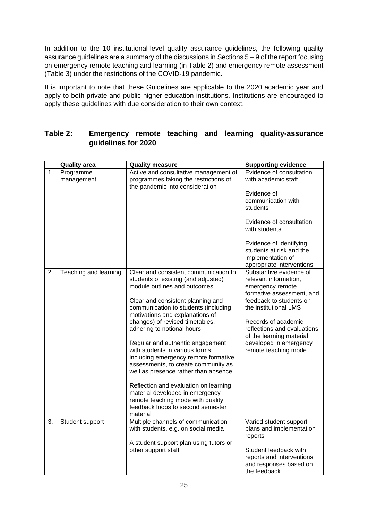In addition to the 10 institutional-level quality assurance guidelines, the following quality assurance guidelines are a summary of the discussions in Sections 5 – 9 of the report focusing on emergency remote teaching and learning (in Table 2) and emergency remote assessment (Table 3) under the restrictions of the COVID-19 pandemic.

It is important to note that these Guidelines are applicable to the 2020 academic year and apply to both private and public higher education institutions. Institutions are encouraged to apply these guidelines with due consideration to their own context.

|    | <b>Quality area</b>     | <b>Quality measure</b>                                                                                                                                                                     | <b>Supporting evidence</b>                                                                            |
|----|-------------------------|--------------------------------------------------------------------------------------------------------------------------------------------------------------------------------------------|-------------------------------------------------------------------------------------------------------|
| 1. | Programme<br>management | Active and consultative management of<br>programmes taking the restrictions of<br>the pandemic into consideration                                                                          | Evidence of consultation<br>with academic staff                                                       |
|    |                         |                                                                                                                                                                                            | Evidence of<br>communication with<br>students                                                         |
|    |                         |                                                                                                                                                                                            | Evidence of consultation<br>with students                                                             |
|    |                         |                                                                                                                                                                                            | Evidence of identifying<br>students at risk and the<br>implementation of<br>appropriate interventions |
| 2. | Teaching and learning   | Clear and consistent communication to<br>students of existing (and adjusted)<br>module outlines and outcomes                                                                               | Substantive evidence of<br>relevant information,<br>emergency remote<br>formative assessment, and     |
|    |                         | Clear and consistent planning and                                                                                                                                                          | feedback to students on                                                                               |
|    |                         | communication to students (including<br>motivations and explanations of                                                                                                                    | the institutional LMS                                                                                 |
|    |                         | changes) of revised timetables,                                                                                                                                                            | Records of academic                                                                                   |
|    |                         | adhering to notional hours                                                                                                                                                                 | reflections and evaluations<br>of the learning material                                               |
|    |                         | Regular and authentic engagement<br>with students in various forms,<br>including emergency remote formative<br>assessments, to create community as<br>well as presence rather than absence | developed in emergency<br>remote teaching mode                                                        |
|    |                         | Reflection and evaluation on learning<br>material developed in emergency<br>remote teaching mode with quality<br>feedback loops to second semester<br>material                             |                                                                                                       |
| 3. | Student support         | Multiple channels of communication                                                                                                                                                         | Varied student support                                                                                |
|    |                         | with students, e.g. on social media                                                                                                                                                        | plans and implementation<br>reports                                                                   |
|    |                         | A student support plan using tutors or                                                                                                                                                     |                                                                                                       |
|    |                         | other support staff                                                                                                                                                                        | Student feedback with<br>reports and interventions<br>and responses based on<br>the feedback          |

## <span id="page-24-0"></span>**Table 2: Emergency remote teaching and learning quality-assurance guidelines for 2020**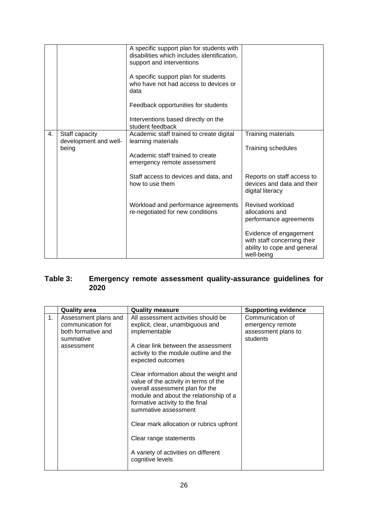|    |                                                  | A specific support plan for students with<br>disabilities which includes identification,<br>support and interventions<br>A specific support plan for students<br>who have not had access to devices or<br>data<br>Feedback opportunities for students<br>Interventions based directly on the<br>student feedback |                                                                                                                                                                                         |
|----|--------------------------------------------------|------------------------------------------------------------------------------------------------------------------------------------------------------------------------------------------------------------------------------------------------------------------------------------------------------------------|-----------------------------------------------------------------------------------------------------------------------------------------------------------------------------------------|
| 4. | Staff capacity<br>development and well-<br>being | Academic staff trained to create digital<br>learning materials<br>Academic staff trained to create<br>emergency remote assessment<br>Staff access to devices and data, and<br>how to use them                                                                                                                    | Training materials<br><b>Training schedules</b><br>Reports on staff access to<br>devices and data and their                                                                             |
|    |                                                  | Workload and performance agreements<br>re-negotiated for new conditions                                                                                                                                                                                                                                          | digital literacy<br>Revised workload<br>allocations and<br>performance agreements<br>Evidence of engagement<br>with staff concerning their<br>ability to cope and general<br>well-being |

## <span id="page-25-0"></span>**Table 3: Emergency remote assessment quality-assurance guidelines for 2020**

|    | <b>Quality area</b>                                                                        | <b>Quality measure</b>                                                                                                                                                                                                                                                                                                                                                                                                                                                                                                                                      | <b>Supporting evidence</b>                                              |
|----|--------------------------------------------------------------------------------------------|-------------------------------------------------------------------------------------------------------------------------------------------------------------------------------------------------------------------------------------------------------------------------------------------------------------------------------------------------------------------------------------------------------------------------------------------------------------------------------------------------------------------------------------------------------------|-------------------------------------------------------------------------|
| 1. | Assessment plans and<br>communication for<br>both formative and<br>summative<br>assessment | All assessment activities should be<br>explicit, clear, unambiguous and<br>implementable<br>A clear link between the assessment<br>activity to the module outline and the<br>expected outcomes<br>Clear information about the weight and<br>value of the activity in terms of the<br>overall assessment plan for the<br>module and about the relationship of a<br>formative activity to the final<br>summative assessment<br>Clear mark allocation or rubrics upfront<br>Clear range statements<br>A variety of activities on different<br>cognitive levels | Communication of<br>emergency remote<br>assessment plans to<br>students |
|    |                                                                                            |                                                                                                                                                                                                                                                                                                                                                                                                                                                                                                                                                             |                                                                         |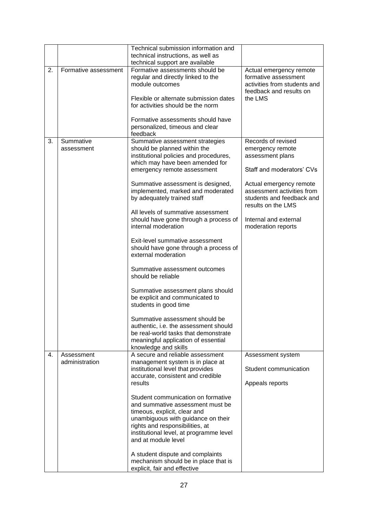|    |                         | Technical submission information and<br>technical instructions, as well as<br>technical support are available                                                                                                                                                                                                                                                                                                                                                                                                                                                                                                                                                                                                                                                                                                   |                                                                                                                                                                                                                                                    |
|----|-------------------------|-----------------------------------------------------------------------------------------------------------------------------------------------------------------------------------------------------------------------------------------------------------------------------------------------------------------------------------------------------------------------------------------------------------------------------------------------------------------------------------------------------------------------------------------------------------------------------------------------------------------------------------------------------------------------------------------------------------------------------------------------------------------------------------------------------------------|----------------------------------------------------------------------------------------------------------------------------------------------------------------------------------------------------------------------------------------------------|
| 2. | Formative assessment    | Formative assessments should be<br>regular and directly linked to the<br>module outcomes<br>Flexible or alternate submission dates<br>for activities should be the norm<br>Formative assessments should have                                                                                                                                                                                                                                                                                                                                                                                                                                                                                                                                                                                                    | Actual emergency remote<br>formative assessment<br>activities from students and<br>feedback and results on<br>the LMS                                                                                                                              |
|    |                         | personalized, timeous and clear<br>feedback                                                                                                                                                                                                                                                                                                                                                                                                                                                                                                                                                                                                                                                                                                                                                                     |                                                                                                                                                                                                                                                    |
| 3. | Summative<br>assessment | Summative assessment strategies<br>should be planned within the<br>institutional policies and procedures,<br>which may have been amended for<br>emergency remote assessment<br>Summative assessment is designed,<br>implemented, marked and moderated<br>by adequately trained staff<br>All levels of summative assessment<br>should have gone through a process of<br>internal moderation<br>Exit-level summative assessment<br>should have gone through a process of<br>external moderation<br>Summative assessment outcomes<br>should be reliable<br>Summative assessment plans should<br>be explicit and communicated to<br>students in good time<br>Summative assessment should be<br>authentic, i.e. the assessment should<br>be real-world tasks that demonstrate<br>meaningful application of essential | Records of revised<br>emergency remote<br>assessment plans<br>Staff and moderators' CVs<br>Actual emergency remote<br>assessment activities from<br>students and feedback and<br>results on the LMS<br>Internal and external<br>moderation reports |
| 4. | Assessment              | knowledge and skills<br>A secure and reliable assessment                                                                                                                                                                                                                                                                                                                                                                                                                                                                                                                                                                                                                                                                                                                                                        | Assessment system                                                                                                                                                                                                                                  |
|    | administration          | management system is in place at<br>institutional level that provides<br>accurate, consistent and credible<br>results                                                                                                                                                                                                                                                                                                                                                                                                                                                                                                                                                                                                                                                                                           | Student communication<br>Appeals reports                                                                                                                                                                                                           |
|    |                         | Student communication on formative<br>and summative assessment must be<br>timeous, explicit, clear and<br>unambiguous with guidance on their<br>rights and responsibilities, at<br>institutional level, at programme level<br>and at module level<br>A student dispute and complaints<br>mechanism should be in place that is<br>explicit, fair and effective                                                                                                                                                                                                                                                                                                                                                                                                                                                   |                                                                                                                                                                                                                                                    |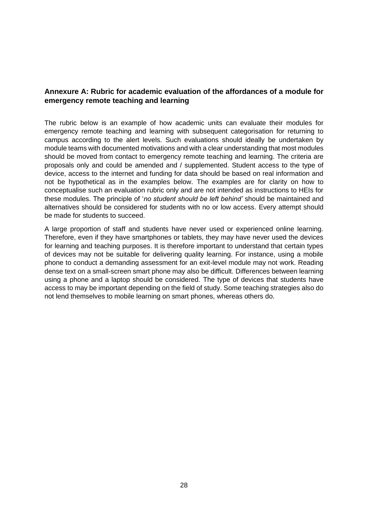## <span id="page-27-0"></span>**Annexure A: Rubric for academic evaluation of the affordances of a module for emergency remote teaching and learning**

The rubric below is an example of how academic units can evaluate their modules for emergency remote teaching and learning with subsequent categorisation for returning to campus according to the alert levels. Such evaluations should ideally be undertaken by module teams with documented motivations and with a clear understanding that most modules should be moved from contact to emergency remote teaching and learning. The criteria are proposals only and could be amended and / supplemented. Student access to the type of device, access to the internet and funding for data should be based on real information and not be hypothetical as in the examples below. The examples are for clarity on how to conceptualise such an evaluation rubric only and are not intended as instructions to HEIs for these modules. The principle of '*no student should be left behind'* should be maintained and alternatives should be considered for students with no or low access. Every attempt should be made for students to succeed.

A large proportion of staff and students have never used or experienced online learning. Therefore, even if they have smartphones or tablets, they may have never used the devices for learning and teaching purposes. It is therefore important to understand that certain types of devices may not be suitable for delivering quality learning. For instance, using a mobile phone to conduct a demanding assessment for an exit-level module may not work. Reading dense text on a small-screen smart phone may also be difficult. Differences between learning using a phone and a laptop should be considered. The type of devices that students have access to may be important depending on the field of study. Some teaching strategies also do not lend themselves to mobile learning on smart phones, whereas others do.